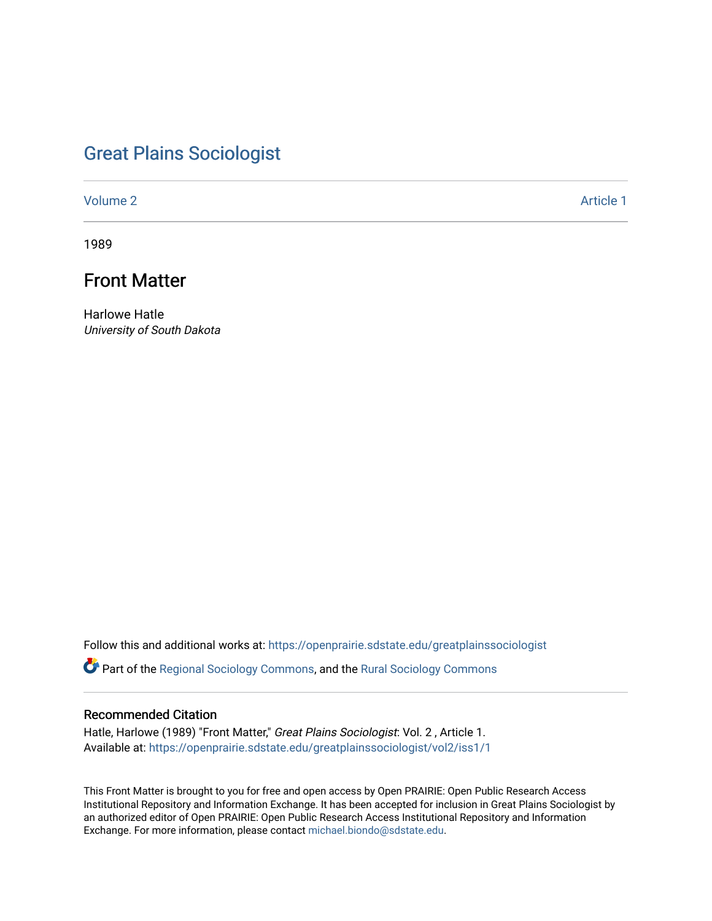# [Great Plains Sociologist](https://openprairie.sdstate.edu/greatplainssociologist)

[Volume 2](https://openprairie.sdstate.edu/greatplainssociologist/vol2) Article 1

1989

# Front Matter

Harlowe Hatle University of South Dakota

Follow this and additional works at: [https://openprairie.sdstate.edu/greatplainssociologist](https://openprairie.sdstate.edu/greatplainssociologist?utm_source=openprairie.sdstate.edu%2Fgreatplainssociologist%2Fvol2%2Fiss1%2F1&utm_medium=PDF&utm_campaign=PDFCoverPages) 

**C** Part of the [Regional Sociology Commons](http://network.bepress.com/hgg/discipline/427?utm_source=openprairie.sdstate.edu%2Fgreatplainssociologist%2Fvol2%2Fiss1%2F1&utm_medium=PDF&utm_campaign=PDFCoverPages), and the Rural Sociology Commons

# Recommended Citation

Hatle, Harlowe (1989) "Front Matter," Great Plains Sociologist: Vol. 2 , Article 1. Available at: [https://openprairie.sdstate.edu/greatplainssociologist/vol2/iss1/1](https://openprairie.sdstate.edu/greatplainssociologist/vol2/iss1/1?utm_source=openprairie.sdstate.edu%2Fgreatplainssociologist%2Fvol2%2Fiss1%2F1&utm_medium=PDF&utm_campaign=PDFCoverPages) 

This Front Matter is brought to you for free and open access by Open PRAIRIE: Open Public Research Access Institutional Repository and Information Exchange. It has been accepted for inclusion in Great Plains Sociologist by an authorized editor of Open PRAIRIE: Open Public Research Access Institutional Repository and Information Exchange. For more information, please contact [michael.biondo@sdstate.edu.](mailto:michael.biondo@sdstate.edu)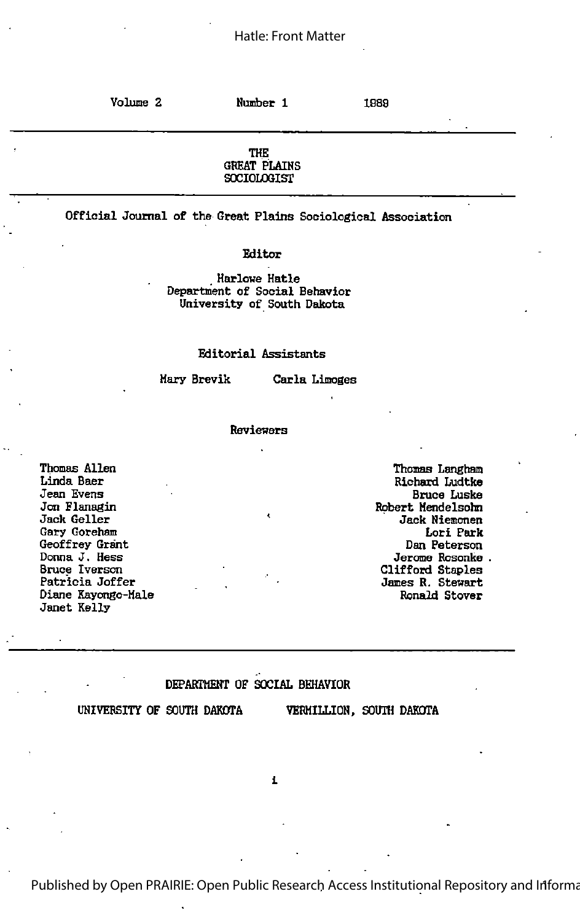Volume 2 Number 1 1989 THE GREAT PLAIHS **SOCIOLOGIST** 

Official Journal of the Great Plains Sociological Association

Editor

, Harlowe Hatle Department of Social Behavior University of South Dakota

#### Editorial Assistants

Hary Brevik Carla Limoges

#### Revieners

Thomas Allen Linda Baer Jean Evens Jon Flanagin Jack Geller Gary Goreham Geoffrey Grant Donna J. Hess Bruce Iverson Patricia Joffer Diane Kayongo-Hale Janet Kelly

Thomas Langhan Richard Ludtke Bruce Luske Robert Hendelsohn Jack Hiemcnen Lori Park Dan Peterson Jerome Rosonke Clifford Staples James R. Stenart Ronald Stover

#### DEPABTMEHT OF SOCIAL BEHAVIOR

UNIVERSITY OF SOUTH DAKOTA VERHILLIOH, SOUTH DAKOTA

1

Published by Open PRAIRIE: Open Public Research Access Institutional Repository and Informa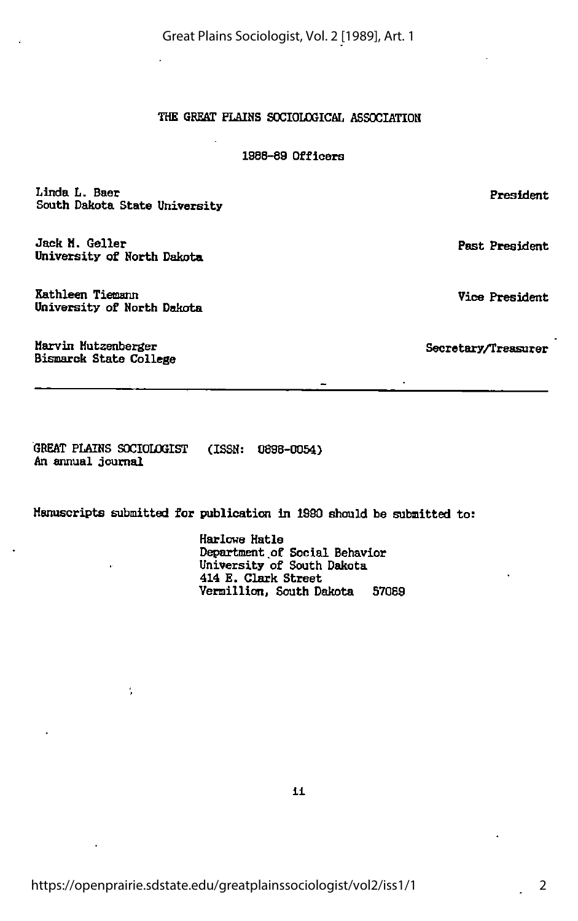Great Plains Sociologist, Vol. 2 [1989], Art. 1

# THE GREAT PLAINS SOCIOLOGICAL ASSOCIATION

### 1988-89 Officers

Linda L. Baer South Dakota State University

Jack M. Geller University of Horth Dakota

Kathleen Tiemsnn University of Horth Dakota

÷,

Marvin Hutzenberger Bismarck State College

GREAT PLAIHS SOCIOLOGIST (ISSH: 0898-0054) An annual journal

Manuscripts submitted for publicaticn in 1980 should be submitted to:

Harlowe Hatle Department .of Social Behavior University of South Dakota 414 E. Clark Street Vermillion, South Dakota 57089

11

President

Past President

Vice President

2

Secretary/Treasurer

 $\cdot$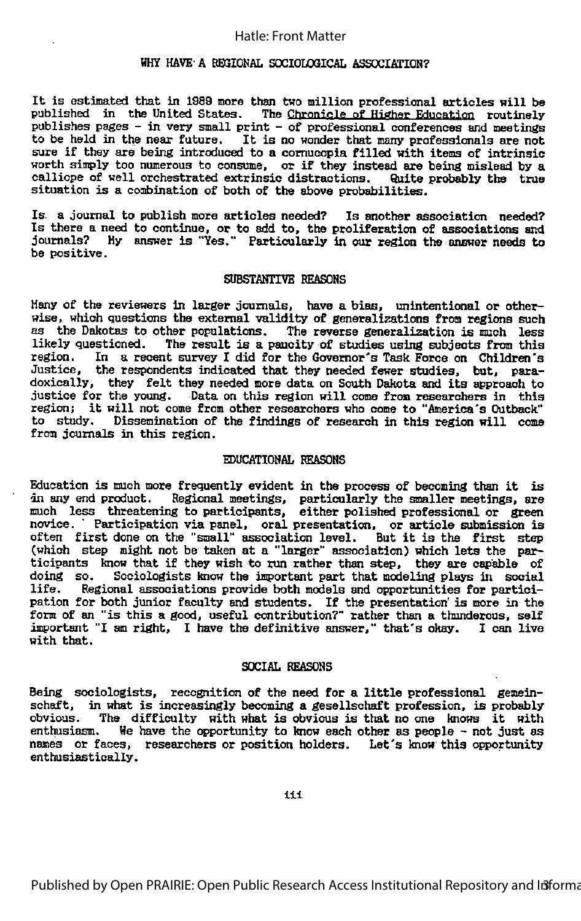## Hatle: Front Matter

### HHY HAVE- A REGIONAL SOCIOLOGICAL ASSOCIATION?

It is estimated that in <sup>1989</sup> more than two million professional articles will be published in the United States. The Chrontole of Higher Education routinely publishes pages - in very small print - of professional conferences and meetings to be held in the near future. It is no wonder that many professionals are not sure if they are being introduced to <sup>a</sup> cornucopia filled with items of intrinsic worth simply too numerous to consume, or if they instead are being mislead by a calliope of well orchestrated extrinsic distractions. Quite probably the true situation is a ooobination of both of the above probabilities.

Is <sup>a</sup> Journal to publish more articles needed? Is another association needed? Is there <sup>a</sup> need to continue, or to add to, the proliferation of associations and Journals? By answer is "Yes." Particularly in our region the answer needs to be positive.

#### SUBSTANTIVE REASONS

Many of the reviewers In larger Journals, have a bias, unintentional or other wise, which questions the external validity of generalizations from regions such as the Dakotas to other populations. The reverse generalization is much less likely questioned. The result is <sup>a</sup> paucity of studies using subjects from this In a recent survey I did for the Governor's Task Force on Children's Justice, the respondents indicated that they needed fewer studies, but, para doxically, they felt they needed more data on South Dakota and its approach to justice for the young. Data on this region will come from researchers in this region; it will not come from other researchers who come to "America's Outback"<br>to study. Dissemination of the findings of research in this region will come Dissemination of the findings of research in this region will come from Journals in this region.

#### EDUCATIONAL REASONS

Education is much more frequently evident in the process of becoming than it is in any end product. Regional meetings, particularly the smaller meetings, are much less threatening to participants, either polished professional or green novice. ' Participation via panel, oral presentation, or article submission is often first done on the "small" association level. But it is the first step (which step might not be taken at <sup>a</sup> "larger" association) which lets the par ticipants know that if they wish to run rather than step, they are capable of doing so. Sociologists know the important part that modeling plays in social<br>life. Regional associations provide both models and opportunities for partici-Regional associations provide both models and opportunities for participation for both Junior faculty and students. If the presentation' is more in the form of an "is this <sup>a</sup> good, useful contribution?" rather than <sup>a</sup> thunderous, self important "I am right, <sup>I</sup> have the definitive answer," that's okay. <sup>1</sup> can live with that.

#### SOCIAL REASONS

Being sociologists, recognition of the need for <sup>a</sup> little professional gemeinsohaft, in what is increasingly becoming <sup>a</sup> gesellschaft profession, is probably obvious. The difficulty with what is obvious is that no one knows it with enthusiasm. We have the opportunity to know each other as people - not just as We have the opportunity to know each other as people - not just as names or faces, researchers or position holders. Let's know this opportunity enthusiastically.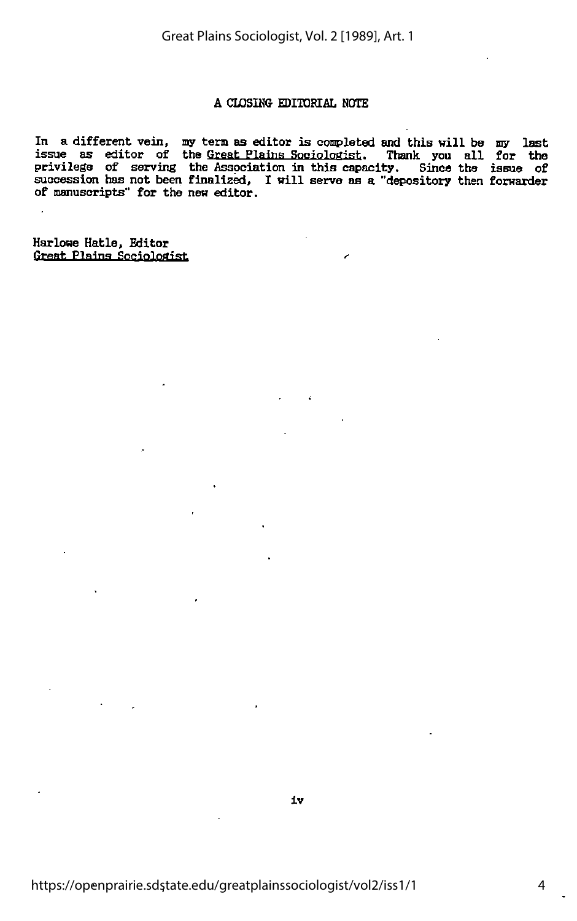# A CLOSING EDITORIAL NOTE

In a different vein, my tern as editor is completed and this will be my last In a designation will be seen as officed in our product and this wife is the last privilege of serving the Association in this capacity. Since the issue of succession has not been finalized, I will serve as a "depository then forwarder of manuscripts" for the new editor.

Harlowe Hatle, Editor Great Plains Sociologist

 $\overline{\phantom{a}}$